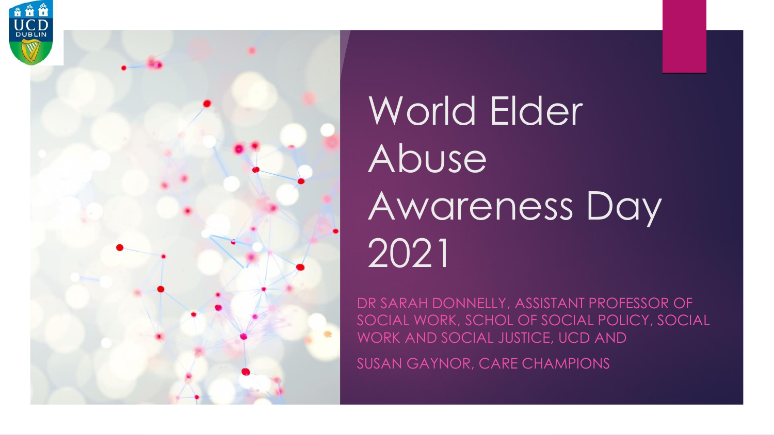



# World Elder Abuse Awareness Day 2021

DR SARAH DONNELLY, ASSISTANT PROFESSOR OF SOCIAL WORK, SCHOL OF SOCIAL POLICY, SOCIAL WORK AND SOCIAL JUSTICE, UCD AND

SUSAN GAYNOR, CARE CHAMPIONS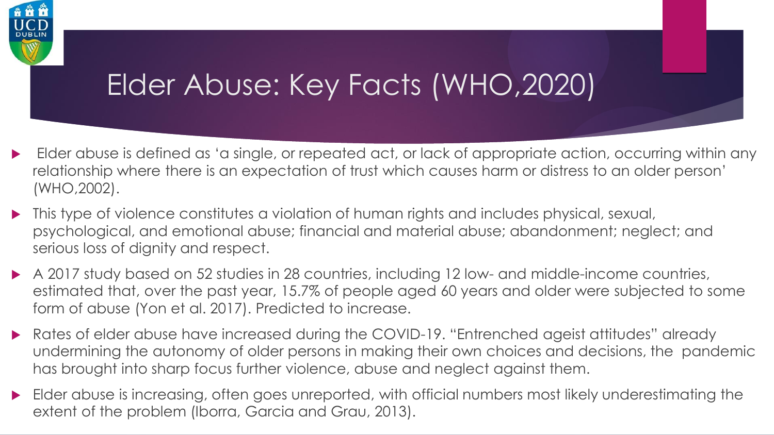

#### Elder Abuse: Key Facts (WHO,2020)

- Elder abuse is defined as 'a single, or repeated act, or lack of appropriate action, occurring within any relationship where there is an expectation of trust which causes harm or distress to an older person' (WHO,2002).
- This type of violence constitutes a violation of human rights and includes physical, sexual, psychological, and emotional abuse; financial and material abuse; abandonment; neglect; and serious loss of dignity and respect.
- A 2017 study based on 52 studies in 28 countries, including 12 low- and middle-income countries, estimated that, over the past year, 15.7% of people aged 60 years and older were subjected to some form of abuse (Yon et al. 2017). Predicted to increase.
- Rates of elder abuse have increased during the COVID-19. "Entrenched ageist attitudes" already undermining the autonomy of older persons in making their own choices and decisions, the pandemic has brought into sharp focus further violence, abuse and neglect against them.
- Elder abuse is increasing, often goes unreported, with official numbers most likely underestimating the extent of the problem (Iborra, Garcia and Grau, 2013).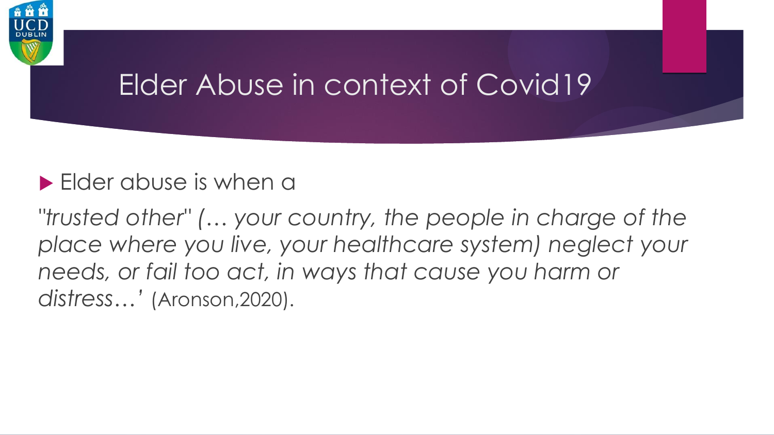

#### Elder Abuse in context of Covid19

#### **Elder abuse is when a**

*"trusted other" (… your country, the people in charge of the place where you live, your healthcare system) neglect your needs, or fail too act, in ways that cause you harm or distress…'* (Aronson,2020).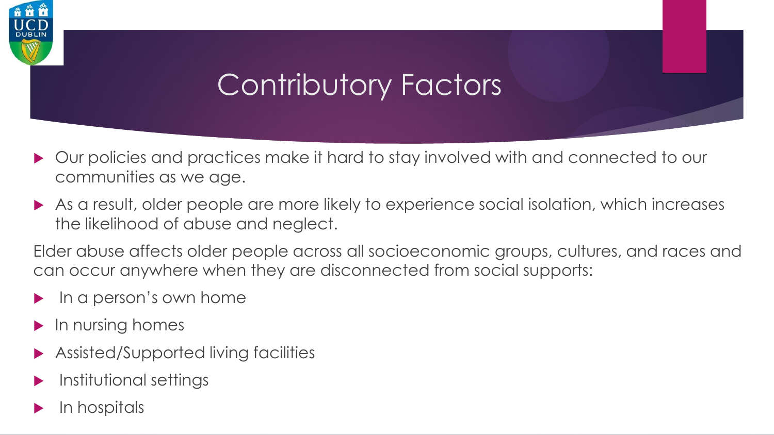## Contributory Factors

- ▶ Our policies and practices make it hard to stay involved with and connected to our communities as we age.
- As a result, older people are more likely to experience social isolation, which increases the likelihood of abuse and neglect.

Elder abuse affects older people across all socioeconomic groups, cultures, and races and can occur anywhere when they are disconnected from social supports:

- In a person's own home
- $\blacktriangleright$  In nursing homes
- Assisted/Supported living facilities
- Institutional settings
- In hospitals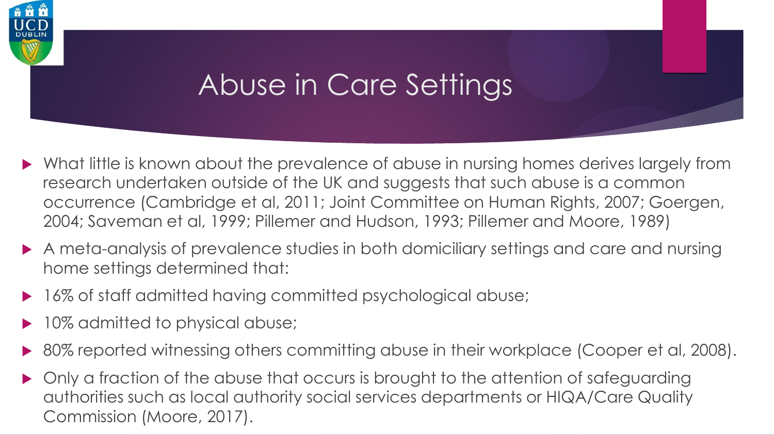

#### Abuse in Care Settings

- What little is known about the prevalence of abuse in nursing homes derives largely from research undertaken outside of the UK and suggests that such abuse is a common occurrence (Cambridge et al, 2011; Joint Committee on Human Rights, 2007; Goergen, 2004; Saveman et al, 1999; Pillemer and Hudson, 1993; Pillemer and Moore, 1989)
- A meta-analysis of prevalence studies in both domiciliary settings and care and nursing home settings determined that:
- 16% of staff admitted having committed psychological abuse;
- 10% admitted to physical abuse;
- 80% reported witnessing others committing abuse in their workplace (Cooper et al, 2008).
- Only a fraction of the abuse that occurs is brought to the attention of safeguarding authorities such as local authority social services departments or HIQA/Care Quality Commission (Moore, 2017).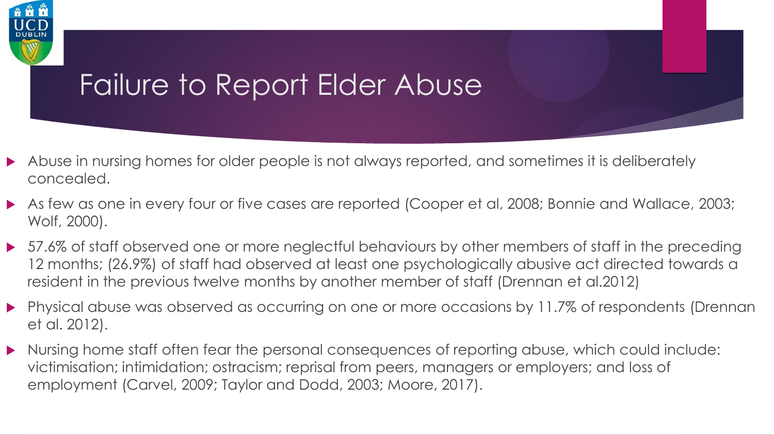

#### Failure to Report Elder Abuse

- Abuse in nursing homes for older people is not always reported, and sometimes it is deliberately concealed.
- As few as one in every four or five cases are reported (Cooper et al, 2008; Bonnie and Wallace, 2003; Wolf, 2000).
- ▶ 57.6% of staff observed one or more neglectful behaviours by other members of staff in the preceding 12 months; (26.9%) of staff had observed at least one psychologically abusive act directed towards a resident in the previous twelve months by another member of staff (Drennan et al.2012)
- **•** Physical abuse was observed as occurring on one or more occasions by 11.7% of respondents (Drennan et al. 2012).
- Nursing home staff often fear the personal consequences of reporting abuse, which could include: victimisation; intimidation; ostracism; reprisal from peers, managers or employers; and loss of employment (Carvel, 2009; Taylor and Dodd, 2003; Moore, 2017).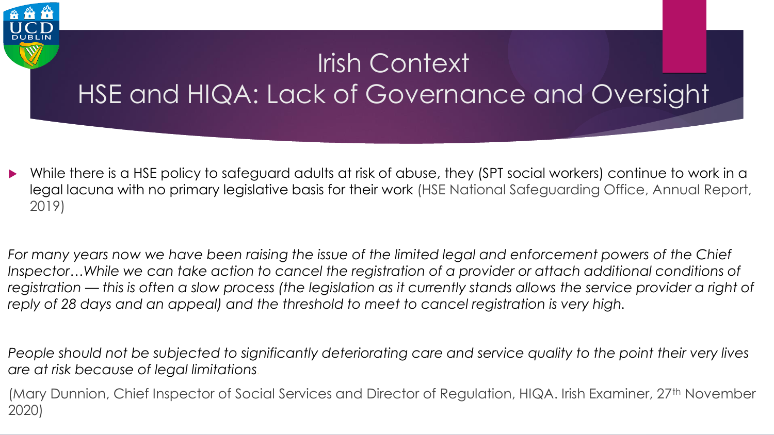#### Irish Context HSE and HIQA: Lack of Governance and Oversight

- While there is a HSE policy to safeguard adults at risk of abuse, they (SPT social workers) continue to work in a legal lacuna with no primary legislative basis for their work (HSE National Safeguarding Office, Annual Report, 2019)
- *For many years now we have been raising the issue of the limited legal and enforcement powers of the Chief*  Inspector...While we can take action to cancel the registration of a provider or attach additional conditions of *registration — this is often a slow process (the legislation as it currently stands allows the service provider a right of reply of 28 days and an appeal) and the threshold to meet to cancel registration is very high.*

*People should not be subjected to significantly deteriorating care and service quality to the point their very lives are at risk because of legal limitations.*

(Mary Dunnion, Chief Inspector of Social Services and Director of Regulation, HIQA. Irish Examiner, 27<sup>th</sup> November 2020)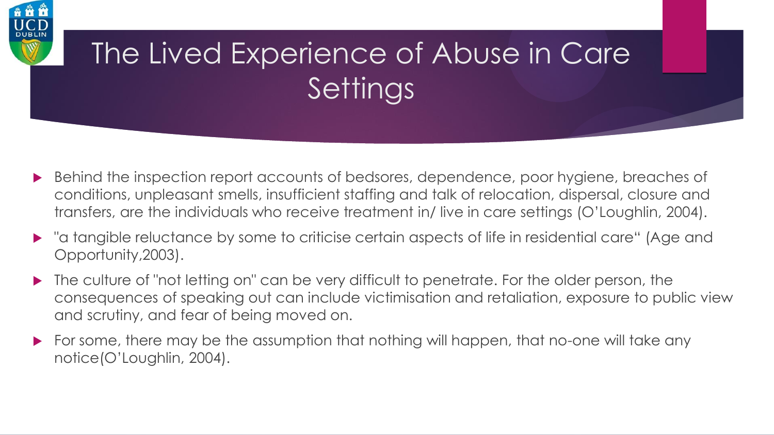

### The Lived Experience of Abuse in Care **Settings**

- ▶ Behind the inspection report accounts of bedsores, dependence, poor hygiene, breaches of conditions, unpleasant smells, insufficient staffing and talk of relocation, dispersal, closure and transfers, are the individuals who receive treatment in/ live in care settings (O'Loughlin, 2004).
- "a tangible reluctance by some to criticise certain aspects of life in residential care" (Age and Opportunity,2003).
- The culture of "not letting on" can be very difficult to penetrate. For the older person, the consequences of speaking out can include victimisation and retaliation, exposure to public view and scrutiny, and fear of being moved on.
- For some, there may be the assumption that nothing will happen, that no-one will take any notice(O'Loughlin, 2004).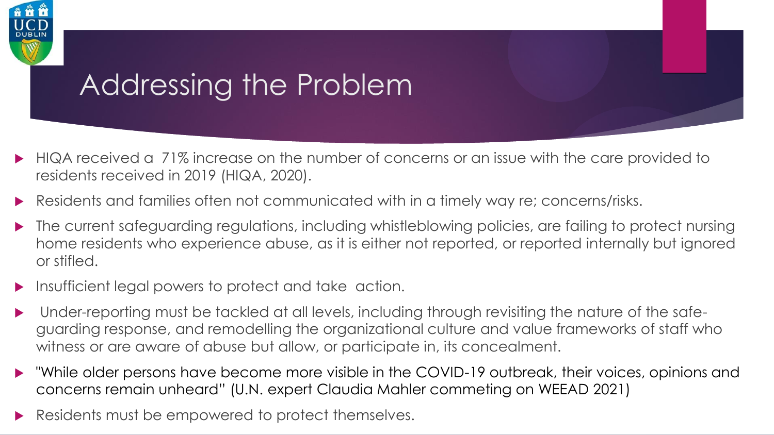

#### Addressing the Problem

- HIQA received a 71% increase on the number of concerns or an issue with the care provided to residents received in 2019 (HIQA, 2020).
- Residents and families often not communicated with in a timely way re; concerns/risks.
- The current safeguarding regulations, including whistleblowing policies, are failing to protect nursing home residents who experience abuse, as it is either not reported, or reported internally but ignored or stifled.
- Insufficient legal powers to protect and take action.
- Under-reporting must be tackled at all levels, including through revisiting the nature of the safeguarding response, and remodelling the organizational culture and value frameworks of staff who witness or are aware of abuse but allow, or participate in, its concealment.
- "While older persons have become more visible in the COVID-19 outbreak, their voices, opinions and concerns remain unheard" (U.N. expert Claudia Mahler commeting on WEEAD 2021)
- Residents must be empowered to protect themselves.